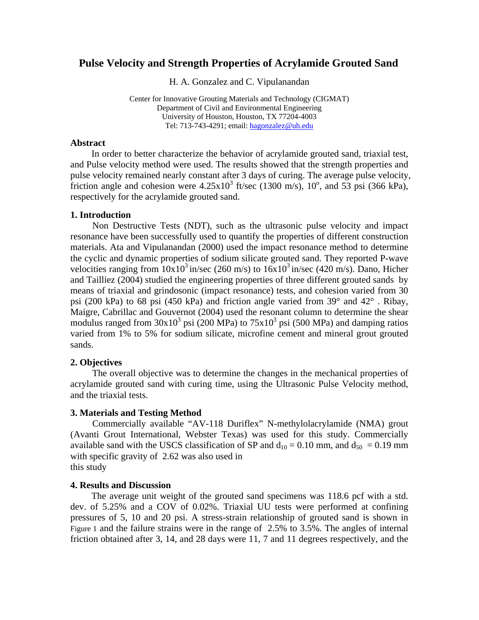# **Pulse Velocity and Strength Properties of Acrylamide Grouted Sand**

H. A. Gonzalez and C. Vipulanandan

Center for Innovative Grouting Materials and Technology (CIGMAT) Department of Civil and Environmental Engineering University of Houston, Houston, TX 77204-4003 Tel: 713-743-4291; email: [hagonzalez@uh.edu](mailto:hgozgure@mail.uh.edu)

### **Abstract**

In order to better characterize the behavior of acrylamide grouted sand, triaxial test, and Pulse velocity method were used. The results showed that the strength properties and pulse velocity remained nearly constant after 3 days of curing. The average pulse velocity, friction angle and cohesion were  $4.25 \times 10^3$  ft/sec (1300 m/s), 10<sup>o</sup>, and 53 psi (366 kPa), respectively for the acrylamide grouted sand.

### **1. Introduction**

Non Destructive Tests (NDT), such as the ultrasonic pulse velocity and impact resonance have been successfully used to quantify the properties of different construction materials. Ata and Vipulanandan (2000) used the impact resonance method to determine the cyclic and dynamic properties of sodium silicate grouted sand. They reported P-wave velocities ranging from  $10x10^3$  in/sec (260 m/s) to  $16x10^3$  in/sec (420 m/s). Dano, Hicher and Tailliez (2004) studied the engineering properties of three different grouted sands by means of triaxial and grindosonic (impact resonance) tests, and cohesion varied from 30 psi (200 kPa) to 68 psi (450 kPa) and friction angle varied from 39° and 42° . Ribay, Maigre, Cabrillac and Gouvernot (2004) used the resonant column to determine the shear modulus ranged from  $30x10^3$  psi (200 MPa) to  $75x10^3$  psi (500 MPa) and damping ratios varied from 1% to 5% for sodium silicate, microfine cement and mineral grout grouted sands.

## **2. Objectives**

The overall objective was to determine the changes in the mechanical properties of acrylamide grouted sand with curing time, using the Ultrasonic Pulse Velocity method, and the triaxial tests.

#### **3. Materials and Testing Method**

Commercially available "AV-118 Duriflex" N-methylolacrylamide (NMA) grout (Avanti Grout International, Webster Texas) was used for this study. Commercially available sand with the USCS classification of SP and  $d_{10} = 0.10$  mm, and  $d_{50} = 0.19$  mm with specific gravity of 2.62 was also used in this study

## **4. Results and Discussion**

The average unit weight of the grouted sand specimens was 118.6 pcf with a std. dev. of 5.25% and a COV of 0.02%. Triaxial UU tests were performed at confining pressures of 5, 10 and 20 psi. A stress-strain relationship of grouted sand is shown in [Figure 1](#page-1-0) and the failure strains were in the range of 2.5% to 3.5%. The angles of internal friction obtained after 3, 14, and 28 days were 11, 7 and 11 degrees respectively, and the